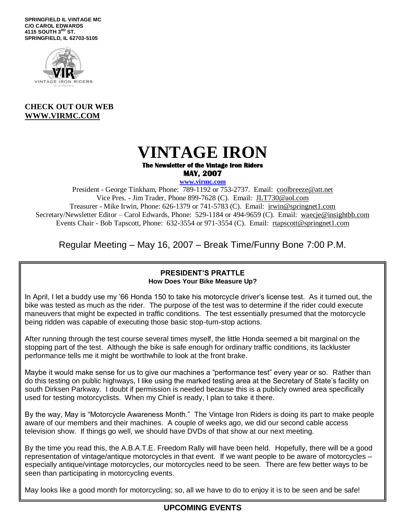**SPRINGFIELD IL VINTAGE MC C/O CAROL EDWARDS 4115 SOUTH 3RD ST. SPRINGFIELD, IL 62703-5105**



## **CHECK OUT OUR WEB [WWW.VIRMC.COM](http://www.virmc.com/)**

# **VINTAGE IRON The Newsletter of the Vintage Iron Riders MAY, 2007**

**www.virmc.com** 

President - George Tinkham, Phone: 789-1192 or 753-2737. Email: [coolbreeze@att.net](mailto:coolbreeze@att.net) Vice Pres. - Jim Trader, Phone 899-7628 (C). Email: [JLT730@aol.com](mailto:JLT730@aol.com) Treasurer - Mike Irwin, Phone: 626-1379 or 741-5783 (C). Email: irwin@springnet1.com Secretary/Newsletter Editor – Carol Edwards, Phone: 529-1184 or 494-9659 (C). Email: waecje@insightbb.com Events Chair - Bob Tapscott, Phone: 632-3554 or 971-3554 (C). Email: [rtapscott@springnet1.com](mailto:rtapscott@springnet1.com)

Regular Meeting – May 16, 2007 – Break Time/Funny Bone 7:00 P.M.

#### **PRESIDENT'S PRATTLE How Does Your Bike Measure Up?**

In April, I let a buddy use my '66 Honda 150 to take his motorcycle driver's license test. As it turned out, the bike was tested as much as the rider. The purpose of the test was to determine if the rider could execute maneuvers that might be expected in traffic conditions. The test essentially presumed that the motorcycle being ridden was capable of executing those basic stop-turn-stop actions.

After running through the test course several times myself, the little Honda seemed a bit marginal on the stopping part of the test. Although the bike is safe enough for ordinary traffic conditions, its lackluster performance tells me it might be worthwhile to look at the front brake.

Maybe it would make sense for us to give our machines a "performance test" every year or so. Rather than do this testing on public highways, I like using the marked testing area at the Secretary of State's facility on south Dirksen Parkway. I doubt if permission is needed because this is a publicly owned area specifically used for testing motorcyclists. When my Chief is ready, I plan to take it there.

By the way, May is "Motorcycle Awareness Month." The Vintage Iron Riders is doing its part to make people aware of our members and their machines. A couple of weeks ago, we did our second cable access television show. If things go well, we should have DVDs of that show at our next meeting.

By the time you read this, the A.B.A.T.E. Freedom Rally will have been held. Hopefully, there will be a good representation of vintage/antique motorcycles in that event. If we want people to be aware of motorcycles – especially antique/vintage motorcycles, our motorcycles need to be seen. There are few better ways to be seen than participating in motorcycling events.

May looks like a good month for motorcycling; so, all we have to do to enjoy it is to be seen and be safe!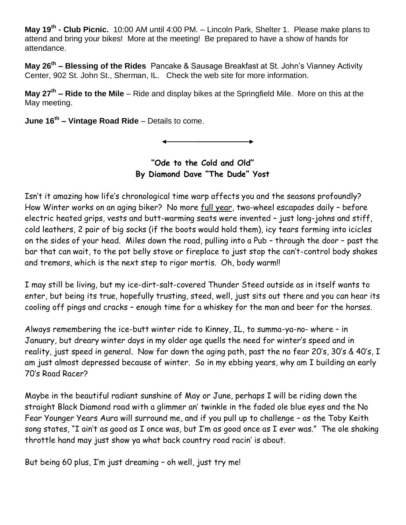**May 19th - Club Picnic.** 10:00 AM until 4:00 PM. – Lincoln Park, Shelter 1. Please make plans to attend and bring your bikes! More at the meeting! Be prepared to have a show of hands for attendance.

**May 26th – Blessing of the Rides** Pancake & Sausage Breakfast at St. John's Vianney Activity Center, 902 St. John St., Sherman, IL. Check the web site for more information.

**May 27th – Ride to the Mile** – Ride and display bikes at the Springfield Mile. More on this at the May meeting.

**June 16th – Vintage Road Ride** – Details to come.

**"Ode to the Cold and Old" By Diamond Dave "The Dude" Yost**

Isn't it amazing how life's chronological time warp affects you and the seasons profoundly? How Winter works on an aging biker? No more full year, two-wheel escapades daily - before electric heated grips, vests and butt-warming seats were invented – just long-johns and stiff, cold leathers, 2 pair of big socks (if the boots would hold them), icy tears forming into icicles on the sides of your head. Miles down the road, pulling into a Pub – through the door – past the bar that can wait, to the pot belly stove or fireplace to just stop the can't-control body shakes and tremors, which is the next step to rigor mortis. Oh, body warm!!

I may still be living, but my ice-dirt-salt-covered Thunder Steed outside as in itself wants to enter, but being its true, hopefully trusting, steed, well, just sits out there and you can hear its cooling off pings and cracks – enough time for a whiskey for the man and beer for the horses.

Always remembering the ice-butt winter ride to Kinney, IL, to summa-ya-no- where – in January, but dreary winter days in my older age quells the need for winter's speed and in reality, just speed in general. Now far down the aging path, past the no fear 20's, 30's & 40's, I am just almost depressed because of winter. So in my ebbing years, why am I building an early 70's Road Racer?

Maybe in the beautiful radiant sunshine of May or June, perhaps I will be riding down the straight Black Diamond road with a glimmer an' twinkle in the faded ole blue eyes and the No Fear Younger Years Aura will surround me, and if you pull up to challenge – as the Toby Keith song states, "I ain't as good as I once was, but I'm as good once as I ever was." The ole shaking throttle hand may just show ya what back country road racin' is about.

But being 60 plus, I'm just dreaming – oh well, just try me!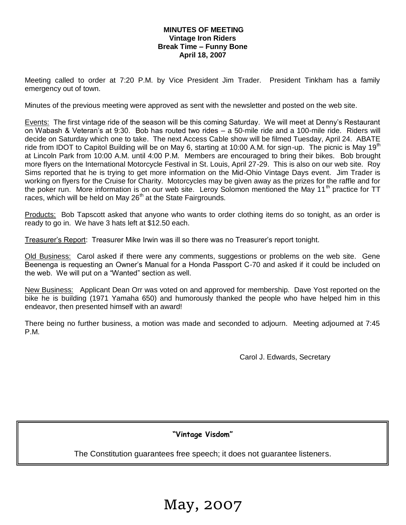#### **MINUTES OF MEETING Vintage Iron Riders Break Time – Funny Bone April 18, 2007**

Meeting called to order at 7:20 P.M. by Vice President Jim Trader. President Tinkham has a family emergency out of town.

Minutes of the previous meeting were approved as sent with the newsletter and posted on the web site.

Events: The first vintage ride of the season will be this coming Saturday. We will meet at Denny's Restaurant on Wabash & Veteran's at 9:30. Bob has routed two rides – a 50-mile ride and a 100-mile ride. Riders will decide on Saturday which one to take. The next Access Cable show will be filmed Tuesday, April 24. ABATE ride from IDOT to Capitol Building will be on May 6, starting at 10:00 A.M. for sign-up. The picnic is May 19<sup>th</sup> at Lincoln Park from 10:00 A.M. until 4:00 P.M. Members are encouraged to bring their bikes. Bob brought more flyers on the International Motorcycle Festival in St. Louis, April 27-29. This is also on our web site. Roy Sims reported that he is trying to get more information on the Mid-Ohio Vintage Days event. Jim Trader is working on flyers for the Cruise for Charity. Motorcycles may be given away as the prizes for the raffle and for the poker run. More information is on our web site. Leroy Solomon mentioned the May 11<sup>th</sup> practice for TT races, which will be held on May 26<sup>th</sup> at the State Fairgrounds.

Products: Bob Tapscott asked that anyone who wants to order clothing items do so tonight, as an order is ready to go in. We have 3 hats left at \$12.50 each.

Treasurer's Report: Treasurer Mike Irwin was ill so there was no Treasurer's report tonight.

Old Business: Carol asked if there were any comments, suggestions or problems on the web site. Gene Beenenga is requesting an Owner's Manual for a Honda Passport C-70 and asked if it could be included on the web. We will put on a "Wanted" section as well.

New Business: Applicant Dean Orr was voted on and approved for membership. Dave Yost reported on the bike he is building (1971 Yamaha 650) and humorously thanked the people who have helped him in this endeavor, then presented himself with an award!

There being no further business, a motion was made and seconded to adjourn. Meeting adjourned at 7:45 P.M.

Carol J. Edwards, Secretary

### **"Vintage Visdom"**

The Constitution guarantees free speech; it does not guarantee listeners.

May, 2007